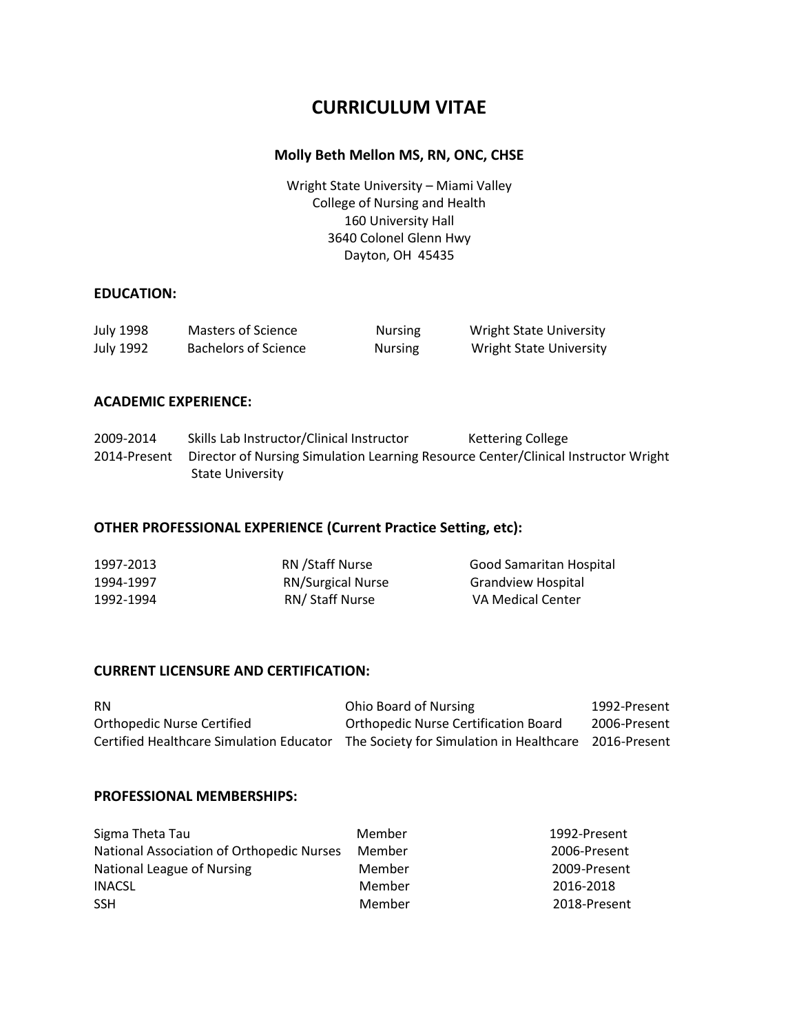# **CURRICULUM VITAE**

# **Molly Beth Mellon MS, RN, ONC, CHSE**

Wright State University – Miami Valley College of Nursing and Health 160 University Hall 3640 Colonel Glenn Hwy Dayton, OH 45435

### **EDUCATION:**

| July 1998 | Masters of Science   | <b>Nursing</b> | <b>Wright State University</b> |
|-----------|----------------------|----------------|--------------------------------|
| July 1992 | Bachelors of Science | <b>Nursing</b> | <b>Wright State University</b> |

## **ACADEMIC EXPERIENCE:**

2009-2014 Skills Lab Instructor/Clinical Instructor Kettering College 2014-Present Director of Nursing Simulation Learning Resource Center/Clinical Instructor Wright State University

## **OTHER PROFESSIONAL EXPERIENCE (Current Practice Setting, etc):**

| 1997-2013 | RN / Staff Nurse         | Good Samaritan Hospital   |
|-----------|--------------------------|---------------------------|
| 1994-1997 | <b>RN/Surgical Nurse</b> | <b>Grandview Hospital</b> |
| 1992-1994 | RN/ Staff Nurse          | VA Medical Center         |

## **CURRENT LICENSURE AND CERTIFICATION:**

RN **RN** Chio Board of Nursing 1992-Present Orthopedic Nurse Certified Orthopedic Nurse Certification Board 2006-Present Certified Healthcare Simulation Educator The Society for Simulation in Healthcare 2016-Present

#### **PROFESSIONAL MEMBERSHIPS:**

| Sigma Theta Tau                           | Member | 1992-Present |
|-------------------------------------------|--------|--------------|
| National Association of Orthopedic Nurses | Member | 2006-Present |
| National League of Nursing                | Member | 2009-Present |
| <b>INACSL</b>                             | Member | 2016-2018    |
| <b>SSH</b>                                | Member | 2018-Present |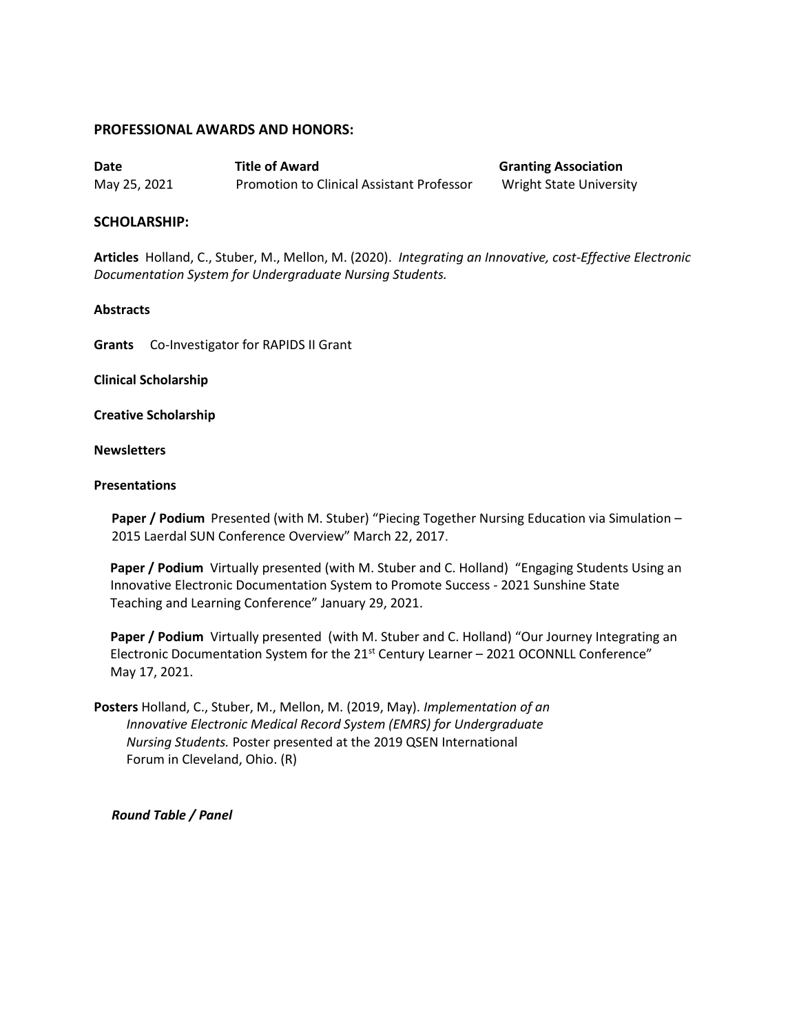#### **PROFESSIONAL AWARDS AND HONORS:**

**Date Title of Award Granting Association** May 25, 2021 Promotion to Clinical Assistant Professor Wright State University

### **SCHOLARSHIP:**

**Articles** Holland, C., Stuber, M., Mellon, M. (2020). *Integrating an Innovative, cost-Effective Electronic Documentation System for Undergraduate Nursing Students.*

#### **Abstracts**

**Grants** Co-Investigator for RAPIDS II Grant

#### **Clinical Scholarship**

**Creative Scholarship**

#### **Newsletters**

#### **Presentations**

**Paper / Podium** Presented (with M. Stuber) "Piecing Together Nursing Education via Simulation – 2015 Laerdal SUN Conference Overview" March 22, 2017.

 **Paper / Podium** Virtually presented (with M. Stuber and C. Holland)"Engaging Students Using an Innovative Electronic Documentation System to Promote Success - 2021 Sunshine State Teaching and Learning Conference" January 29, 2021.

 **Paper / Podium** Virtually presented(with M. Stuber and C. Holland) "Our Journey Integrating an Electronic Documentation System for the 21<sup>st</sup> Century Learner - 2021 OCONNLL Conference" May 17, 2021.

**Posters** Holland, C., Stuber, M., Mellon, M. (2019, May). *Implementation of an Innovative Electronic Medical Record System (EMRS) for Undergraduate Nursing Students.* Poster presented at the 2019 QSEN International Forum in Cleveland, Ohio. (R)

*Round Table / Panel*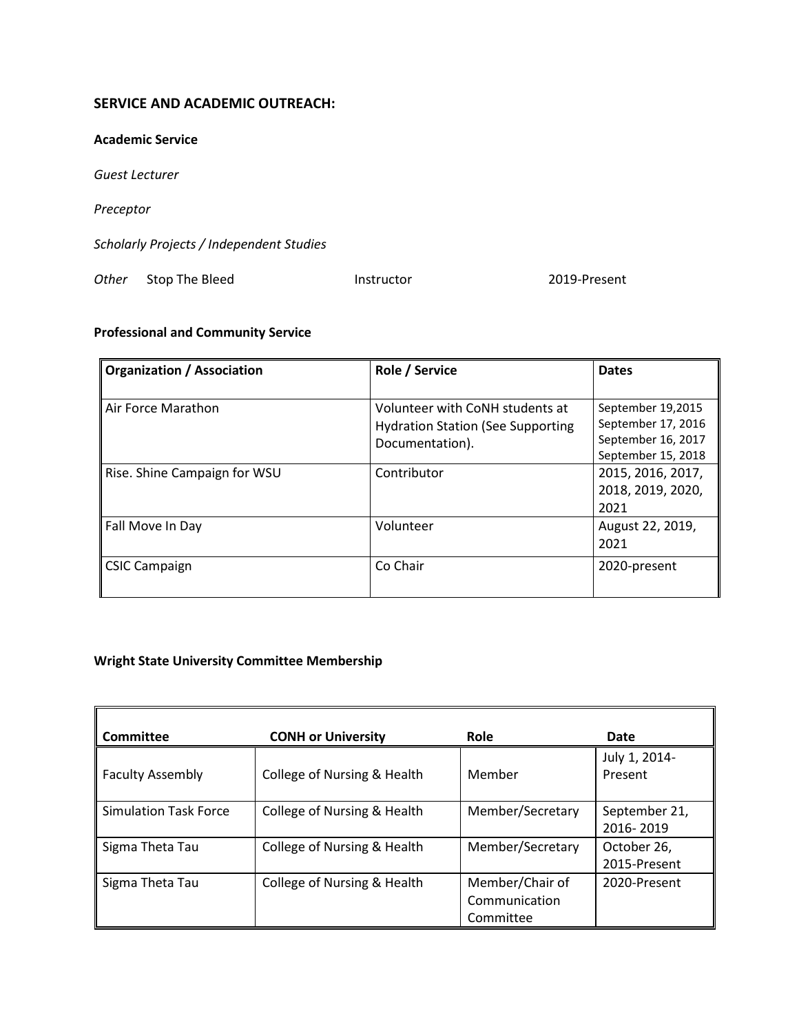# **SERVICE AND ACADEMIC OUTREACH:**

#### **Academic Service**

*Guest Lecturer*

*Preceptor*

*Scholarly Projects / Independent Studies*

**Other** Stop The Bleed **Instructor 1.2019-Present** 

# **Professional and Community Service**

| <b>Organization / Association</b> | Role / Service                           | <b>Dates</b>       |
|-----------------------------------|------------------------------------------|--------------------|
|                                   |                                          |                    |
| Air Force Marathon                | Volunteer with CoNH students at          | September 19,2015  |
|                                   | <b>Hydration Station (See Supporting</b> | September 17, 2016 |
|                                   | Documentation).                          | September 16, 2017 |
|                                   |                                          | September 15, 2018 |
| Rise. Shine Campaign for WSU      | Contributor                              | 2015, 2016, 2017,  |
|                                   |                                          | 2018, 2019, 2020,  |
|                                   |                                          | 2021               |
| Fall Move In Day                  | Volunteer                                | August 22, 2019,   |
|                                   |                                          | 2021               |
| <b>CSIC Campaign</b>              | Co Chair                                 | 2020-present       |
|                                   |                                          |                    |

# **Wright State University Committee Membership**

| Committee                    | <b>CONH or University</b>   | <b>Role</b>                                   | Date                        |
|------------------------------|-----------------------------|-----------------------------------------------|-----------------------------|
| <b>Faculty Assembly</b>      | College of Nursing & Health | Member                                        | July 1, 2014-<br>Present    |
| <b>Simulation Task Force</b> | College of Nursing & Health | Member/Secretary                              | September 21,<br>2016-2019  |
| Sigma Theta Tau              | College of Nursing & Health | Member/Secretary                              | October 26,<br>2015-Present |
| Sigma Theta Tau              | College of Nursing & Health | Member/Chair of<br>Communication<br>Committee | 2020-Present                |